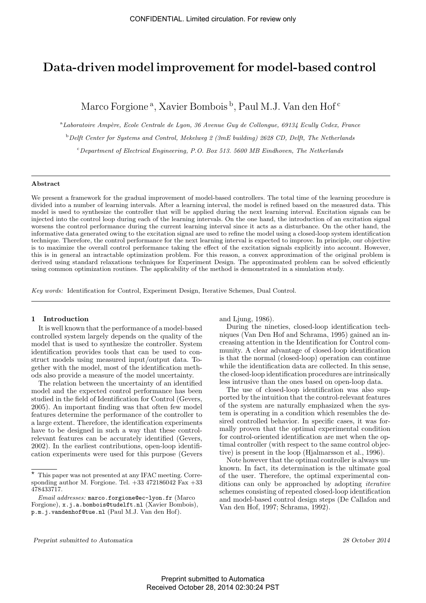# Data-driven model improvement for model-based control

Marco Forgione<sup>a</sup>, Xavier Bombois<sup>b</sup>, Paul M.J. Van den Hof<sup>c</sup>

 $a<sup>a</sup>$ Laboratoire Ampère, Ecole Centrale de Lyon, 36 Avenue Guy de Collongue, 69134 Ecully Cedex, France

 $b$  Delft Center for Systems and Control, Mekelweg 2 (3mE building) 2628 CD, Delft, The Netherlands

 $c$ Department of Electrical Engineering, P.O. Box 513. 5600 MB Eindhoven, The Netherlands

# Abstract

We present a framework for the gradual improvement of model-based controllers. The total time of the learning procedure is divided into a number of learning intervals. After a learning interval, the model is refined based on the measured data. This model is used to synthesize the controller that will be applied during the next learning interval. Excitation signals can be injected into the control loop during each of the learning intervals. On the one hand, the introduction of an excitation signal worsens the control performance during the current learning interval since it acts as a disturbance. On the other hand, the informative data generated owing to the excitation signal are used to refine the model using a closed-loop system identification technique. Therefore, the control performance for the next learning interval is expected to improve. In principle, our objective is to maximize the overall control performance taking the effect of the excitation signals explicitly into account. However, this is in general an intractable optimization problem. For this reason, a convex approximation of the original problem is derived using standard relaxations techniques for Experiment Design. The approximated problem can be solved efficiently using common optimization routines. The applicability of the method is demonstrated in a simulation study.

Key words: Identification for Control, Experiment Design, Iterative Schemes, Dual Control.

#### 1 Introduction

It is well known that the performance of a model-based controlled system largely depends on the quality of the model that is used to synthesize the controller. System identification provides tools that can be used to construct models using measured input/output data. Together with the model, most of the identification methods also provide a measure of the model uncertainty.

The relation between the uncertainty of an identified model and the expected control performance has been studied in the field of Identification for Control (Gevers, 2005). An important finding was that often few model features determine the performance of the controller to a large extent. Therefore, the identification experiments have to be designed in such a way that these controlrelevant features can be accurately identified (Gevers, 2002). In the earliest contributions, open-loop identification experiments were used for this purpose (Gevers

and Ljung, 1986).

During the nineties, closed-loop identification techniques (Van Den Hof and Schrama, 1995) gained an increasing attention in the Identification for Control community. A clear advantage of closed-loop identification is that the normal (closed-loop) operation can continue while the identification data are collected. In this sense, the closed-loop identification procedures are intrinsically less intrusive than the ones based on open-loop data.

The use of closed-loop identification was also supported by the intuition that the control-relevant features of the system are naturally emphasized when the system is operating in a condition which resembles the desired controlled behavior. In specific cases, it was formally proven that the optimal experimental condition for control-oriented identification are met when the optimal controller (with respect to the same control objective) is present in the loop (Hjalmarsson et al., 1996).

Note however that the optimal controller is always unknown. In fact, its determination is the ultimate goal of the user. Therefore, the optimal experimental conditions can only be approached by adopting iterative schemes consisting of repeated closed-loop identification and model-based control design steps (De Callafon and Van den Hof, 1997; Schrama, 1992).

Preprint submitted to Automatica 28 October 2014

 $^\star\,$  This paper was not presented at any IFAC meeting. Corresponding author M. Forgione. Tel.  $+33$  472186042 Fax  $+33$ 478433717.

Email addresses: marco.forgione@ec-lyon.fr (Marco Forgione), x.j.a.bombois@tudelft.nl (Xavier Bombois), p.m.j.vandenhof@tue.nl (Paul M.J. Van den Hof).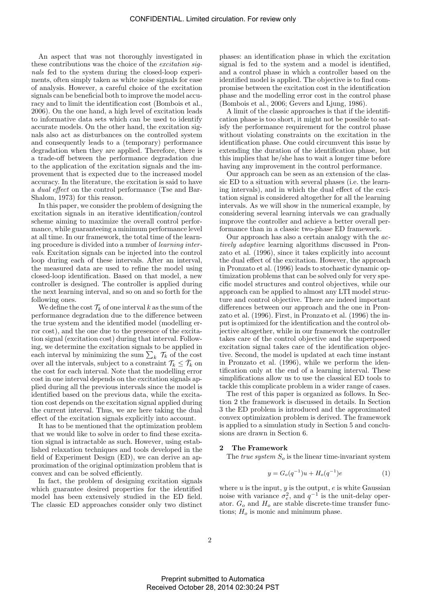An aspect that was not thoroughly investigated in these contributions was the choice of the excitation signals fed to the system during the closed-loop experiments, often simply taken as white noise signals for ease of analysis. However, a careful choice of the excitation signals can be beneficial both to improve the model accuracy and to limit the identification cost (Bombois et al., 2006). On the one hand, a high level of excitation leads to informative data sets which can be used to identify accurate models. On the other hand, the excitation signals also act as disturbances on the controlled system and consequently leads to a (temporary) performance degradation when they are applied. Therefore, there is a trade-off between the performance degradation due to the application of the excitation signals and the improvement that is expected due to the increased model accuracy. In the literature, the excitation is said to have a dual effect on the control performance (Tse and Bar-Shalom, 1973) for this reason.

In this paper, we consider the problem of designing the excitation signals in an iterative identification/control scheme aiming to maximize the overall control performance, while guaranteeing a minimum performance level at all time. In our framework, the total time of the learning procedure is divided into a number of learning intervals. Excitation signals can be injected into the control loop during each of these intervals. After an interval, the measured data are used to refine the model using closed-loop identification. Based on that model, a new controller is designed. The controller is applied during the next learning interval, and so on and so forth for the following ones.

We define the cost  $\mathcal{T}_k$  of one interval k as the sum of the performance degradation due to the difference between the true system and the identified model (modelling error cost), and the one due to the presence of the excitation signal (excitation cost) during that interval. Following, we determine the excitation signals to be applied in each interval by minimizing the sum  $\sum_{k}$   $\mathcal{T}_{k}$  of the cost over all the intervals, subject to a constraint  $\mathcal{T}_k \leq \bar{\mathcal{T}}_k$  on the cost for each interval. Note that the modelling error cost in one interval depends on the excitation signals applied during all the previous intervals since the model is identified based on the previous data, while the excitation cost depends on the excitation signal applied during the current interval. Thus, we are here taking the dual effect of the excitation signals explicitly into account.

It has to be mentioned that the optimization problem that we would like to solve in order to find these excitation signal is intractable as such. However, using established relaxation techniques and tools developed in the field of Experiment Design (ED), we can derive an approximation of the original optimization problem that is convex and can be solved efficiently.

In fact, the problem of designing excitation signals which guarantee desired properties for the identified model has been extensively studied in the ED field. The classic ED approaches consider only two distinct phases: an identification phase in which the excitation signal is fed to the system and a model is identified, and a control phase in which a controller based on the identified model is applied. The objective is to find compromise between the excitation cost in the identification phase and the modelling error cost in the control phase (Bombois et al., 2006; Gevers and Ljung, 1986).

A limit of the classic approaches is that if the identification phase is too short, it might not be possible to satisfy the performance requirement for the control phase without violating constraints on the excitation in the identification phase. One could circumvent this issue by extending the duration of the identification phase, but this implies that he/she has to wait a longer time before having any improvement in the control performance.

Our approach can be seen as an extension of the classic ED to a situation with several phases (i.e. the learning intervals), and in which the dual effect of the excitation signal is considered altogether for all the learning intervals. As we will show in the numerical example, by considering several learning intervals we can gradually improve the controller and achieve a better overall performance than in a classic two-phase ED framework.

Our approach has also a certain analogy with the actively adaptive learning algorithms discussed in Pronzato et al. (1996), since it takes explicitly into account the dual effect of the excitation. However, the approach in Pronzato et al. (1996) leads to stochastic dynamic optimization problems that can be solved only for very specific model structures and control objectives, while our approach can be applied to almost any LTI model structure and control objective. There are indeed important differences between our approach and the one in Pronzato et al. (1996). First, in Pronzato et al. (1996) the input is optimized for the identification and the control objective altogether, while in our framework the controller takes care of the control objective and the superposed excitation signal takes care of the identification objective. Second, the model is updated at each time instant in Pronzato et al. (1996), while we perform the identification only at the end of a learning interval. These simplifications allow us to use the classical ED tools to tackle this complicate problem in a wider range of cases.

The rest of this paper is organized as follows. In Section 2 the framework is discussed in details. In Section 3 the ED problem is introduced and the approximated convex optimization problem is derived. The framework is applied to a simulation study in Section 5 and conclusions are drawn in Section 6.

# 2 The Framework

The true system  $S<sub>o</sub>$  is the linear time-invariant system

$$
y = G_o(q^{-1})u + H_o(q^{-1})e \tag{1}
$$

where  $u$  is the input,  $y$  is the output,  $e$  is white Gaussian noise with variance  $\sigma_e^2$ , and  $q^{-1}$  is the unit-delay operator.  $G<sub>o</sub>$  and  $H<sub>o</sub>$  are stable discrete-time transfer functions;  $H<sub>o</sub>$  is monic and minimum phase.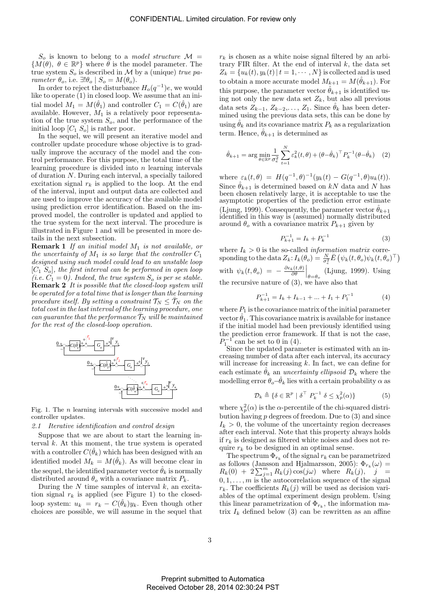$S<sub>o</sub>$  is known to belong to a *model structure*  $\mathcal{M} =$  ${M(\theta), \theta \in \mathbb{R}^p}$  where  $\theta$  is the model parameter. The true system  $S_o$  is described in M by a (unique) true parameter  $\theta_o$ , i.e.  $\exists \theta_o \mid S_o = M(\theta_o)$ .

In order to reject the disturbance  $H_o(q^{-1})e$ , we would like to operate (1) in closed loop. We assume that an initial model  $M_1 = M(\hat{\theta}_1)$  and controller  $C_1 = C(\hat{\theta}_1)$  are available. However,  $M_1$  is a relatively poor representation of the true system  $S_o$ , and the performance of the initial loop  $[C_1 S_o]$  is rather poor.

In the sequel, we will present an iterative model and controller update procedure whose objective is to gradually improve the accuracy of the model and the control performance. For this purpose, the total time of the learning procedure is divided into  $n$  learning intervals of duration N. During each interval, a specially tailored excitation signal  $r_k$  is applied to the loop. At the end of the interval, input and output data are collected and are used to improve the accuracy of the available model using prediction error identification. Based on the improved model, the controller is updated and applied to the true system for the next interval. The procedure is illustrated in Figure 1 and will be presented in more details in the next subsection.

**Remark 1** If an initial model  $M_1$  is not available, or the uncertainty of  $M_1$  is so large that the controller  $C_1$ designed using such model could lead to an unstable loop  $[C_1 \ S_o]$ , the first interval can be performed in open loop  $(i.e. C_1 = 0)$ . Indeed, the true system  $S_0$  is per se stable. Remark 2 It is possible that the closed-loop system will be operated for a total time that is longer than the learning procedure itself. By setting a constraint  $\mathcal{T}_N \leq \bar{\mathcal{T}}_N$  on the total cost in the last interval of the learning procedure, one can guarantee that the performance  $\bar{\mathcal{T}}_N$  will be maintained for the rest of the closed-loop operation.



Fig. 1. The n learning intervals with successive model and controller updates.

# 2.1 Iterative identification and control design

Suppose that we are about to start the learning interval  $k$ . At this moment, the true system is operated with a controller  $C(\hat{\theta}_k)$  which has been designed with an identified model  $M_k = M(\hat{\theta}_k)$ . As will become clear in the sequel, the identified parameter vector  $\hat{\theta}_k$  is normally distributed around  $\theta_o$  with a covariance matrix  $P_k$ .

During the  $N$  time samples of interval  $k$ , an excitation signal  $r_k$  is applied (see Figure 1) to the closedloop system:  $u_k = r_k - C(\hat{\theta}_k)y_k$ . Even though other choices are possible, we will assume in the sequel that  $r_k$  is chosen as a white noise signal filtered by an arbitrary FIR filter. At the end of interval  $k$ , the data set  $Z_k = \{u_k(t), y_k(t) | t = 1, \cdots, N\}$  is collected and is used to obtain a more accurate model  $M_{k+1} = M(\hat{\theta}_{k+1})$ . For this purpose, the parameter vector  $\hat{\theta}_{k+1}$  is identified using not only the new data set  $Z_k$ , but also all previous data sets  $Z_{k-1}, Z_{k-2}, \ldots, Z_1$ . Since  $\hat{\theta}_k$  has been determined using the previous data sets, this can be done by using  $\hat{\theta}_k$  and its covariance matrix  $P_k$  as a regularization term. Hence,  $\hat{\theta}_{k+1}$  is determined as

$$
\hat{\theta}_{k+1} = \arg \min_{\theta \in \mathbb{R}^p} \frac{1}{\sigma_e^2} \sum_{t=1}^N \varepsilon_k^2(t, \theta) + (\theta - \hat{\theta}_k)^{\top} P_k^{-1} (\theta - \hat{\theta}_k) \quad (2)
$$

where  $\varepsilon_k(t,\theta) = H(q^{-1},\theta)^{-1}(y_k(t) - G(q^{-1},\theta)u_k(t)).$ Since  $\hat{\theta}_{k+1}$  is determined based on kN data and N has been chosen relatively large, it is acceptable to use the asymptotic properties of the prediction error estimate (Ljung, 1999). Consequently, the parameter vector  $\hat{\theta}_{k+1}$ identified in this way is (assumed) normally distributed around  $\theta_o$  with a covariance matrix  $P_{k+1}$  given by

$$
P_{k+1}^{-1} = I_k + P_k^{-1}
$$
 (3)

where  $I_k > 0$  is the so-called *information matrix* corresponding to the data  $Z_k$ :  $I_k(\theta_o) = \frac{N}{\sigma_e^2} \bar{E} \left( \psi_k(t, \theta_o) \psi_k(t, \theta_o)^\top \right)$ with  $\psi_k(t, \theta_o) = -\frac{\partial \epsilon_k(t, \theta)}{\partial \theta} \bigg|_{\theta = \theta_o}$  (Ljung, 1999). Using the recursive nature of (3), we have also that

$$
P_{k+1}^{-1} = I_k + I_{k-1} + \dots + I_1 + P_1^{-1}
$$
 (4)

where  $P_1$  is the covariance matrix of the initial parameter vector  $\hat{\theta}_1$ . This covariance matrix is available for instance if the initial model had been previously identified using the prediction error framework. If that is not the case,  $P_1^{-1}$  can be set to 0 in (4).

Since the updated parameter is estimated with an increasing number of data after each interval, its accuracy will increase for increasing  $k$ . In fact, we can define for each estimate  $\hat{\theta}_k$  an *uncertainty ellipsoid*  $\mathcal{D}_k$  where the modelling error  $\theta_o - \hat{\theta}_k$  lies with a certain probability  $\alpha$  as

$$
\mathcal{D}_k \triangleq \{ \delta \in \mathbb{R}^p \mid \delta^\top \ P_k^{-1} \ \delta \leq \chi^2_p(\alpha) \} \tag{5}
$$

where  $\chi_p^2(\alpha)$  is the  $\alpha$ -percentile of the chi-squared distribution having  $p$  degrees of freedom. Due to  $(3)$  and since  $I_k > 0$ , the volume of the uncertainty region decreases after each interval. Note that this property always holds if  $r_k$  is designed as filtered white noises and does not require  $r_k$  to be designed in an optimal sense.

The spectrum  $\Phi_{r_k}$  of the signal  $r_k$  can be parametrized as follows (Jansson and Hjalmarsson, 2005):  $\Phi_{r_k}(\omega) =$  $R_k(0) + 2\sum_{j=1}^m R_k(j) \cos(j\omega)$  where  $R_k(j), \quad j' =$  $0, 1, \ldots, m$  is the autocorrelation sequence of the signal  $r_k$ . The coefficients  $R_k(j)$  will be used as decision variables of the optimal experiment design problem. Using this linear parametrization of  $\Phi_{r_k}$ , the information matrix  $I_k$  defined below (3) can be rewritten as an affine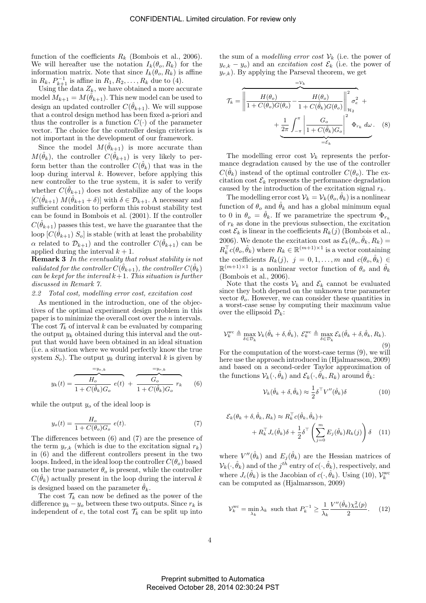function of the coefficients  $R_k$  (Bombois et al., 2006). We will hereafter use the notation  $I_k(\theta_o, R_k)$  for the information matrix. Note that since  $I_k(\theta_o, R_k)$  is affine in  $R_k$ ,  $P_{k+1}^{-1}$  is affine in  $R_1, R_2, \ldots, R_k$  due to (4).

Using the data  $Z_k$ , we have obtained a more accurate model  $M_{k+1} = M(\hat{\theta}_{k+1})$ . This new model can be used to design an updated controller  $C(\hat{\theta}_{k+1})$ . We will suppose that a control design method has been fixed a-priori and thus the controller is a function  $C(\cdot)$  of the parameter vector. The choice for the controller design criterion is not important in the development of our framework.

Since the model  $M(\hat{\theta}_{k+1})$  is more accurate than  $M(\hat{\theta}_k)$ , the controller  $C(\hat{\theta}_{k+1})$  is very likely to perform better than the controller  $C(\hat{\theta}_k)$  that was in the loop during interval  $k$ . However, before applying this new controller to the true system, it is safer to verify whether  $C(\hat{\theta}_{k+1})$  does not destabilize any of the loops  $[C(\hat{\theta}_{k+1}) M(\hat{\theta}_{k+1} + \delta)]$  with  $\delta \in \mathcal{D}_{k+1}$ . A necessary and sufficient condition to perform this robust stability test can be found in Bombois et al. (2001). If the controller  $C(\hat{\theta}_{k+1})$  passes this test, we have the guarantee that the loop  $[C(\hat{\theta}_{k+1}) S_o]$  is stable (with at least the probability  $\alpha$  related to  $\mathcal{D}_{k+1}$ ) and the controller  $C(\hat{\theta}_{k+1})$  can be applied during the interval  $k + 1$ .

Remark 3 In the eventuality that robust stability is not validated for the controller  $C(\hat{\theta}_{k+1})$ , the controller  $C(\hat{\theta}_{k})$ can be kept for the interval  $k+1$ . This situation is further discussed in Remark 7.

# 2.2 Total cost, modelling error cost, excitation cost

As mentioned in the introduction, one of the objectives of the optimal experiment design problem in this paper is to minimize the overall cost over the n intervals. The cost  $\mathcal{T}_k$  of interval k can be evaluated by comparing the output  $y_k$  obtained during this interval and the output that would have been obtained in an ideal situation (i.e. a situation where we would perfectly know the true system  $S_o$ ). The output  $y_k$  during interval k is given by

$$
y_k(t) = \overbrace{\frac{H_o}{1 + C(\hat{\theta}_k)G_o}}^{\stackrel{= y_{e,k}}{}} e(t) + \overbrace{\frac{G_o}{1 + C(\hat{\theta}_k)G_o}}^{\stackrel{= y_{r,k}}{}} r_k}^{\stackrel{= y_{r,k}}{}} (6)
$$

while the output  $y<sub>o</sub>$  of the ideal loop is

$$
y_o(t) = \frac{H_o}{1 + C(\theta_o)G_o} e(t).
$$
 (7)

The differences between (6) and (7) are the presence of the term  $y_{r,k}$  (which is due to the excitation signal  $r_k$ ) in (6) and the different controllers present in the two loops. Indeed, in the ideal loop the controller  $C(\theta_o)$  based on the true parameter  $\theta_o$  is present, while the controller  $C(\hat{\theta}_k)$  actually present in the loop during the interval k is designed based on the parameter  $\hat{\theta}_k$ .

The cost  $\mathcal{T}_k$  can now be defined as the power of the difference  $y_k - y_o$  between these two outputs. Since  $r_k$  is independent of e, the total cost  $\mathcal{T}_k$  can be split up into

the sum of a *modelling error cost*  $V_k$  (i.e. the power of  $y_{e,k} - y_o$  and an excitation cost  $\mathcal{E}_k$  (i.e. the power of  $y_{r,k}$ ). By applying the Parseval theorem, we get

$$
\mathcal{T}_{k} = \sqrt{\frac{H(\theta_{o})}{1 + C(\theta_{o})G(\theta_{o})} - \frac{H(\theta_{o})}{1 + C(\hat{\theta}_{k})G(\theta_{o})}} \Big|_{\mathcal{H}_{2}}^{2} + \frac{1}{2\pi} \int_{-\pi}^{\pi} \left| \frac{G_{o}}{1 + C(\hat{\theta}_{k})G_{o}} \right|^{2} \Phi_{r_{k}} d\omega. \quad (8)
$$

The modelling error cost  $\mathcal{V}_k$  represents the performance degradation caused by the use of the controller  $C(\hat{\theta}_k)$  instead of the optimal controller  $C(\theta_o)$ . The excitation cost  $\mathcal{E}_k$  represents the performance degradation caused by the introduction of the excitation signal  $r_k$ .

The modelling error cost  $\mathcal{V}_k = \mathcal{V}_k(\theta_o, \hat{\theta}_k)$  is a nonlinear function of  $\theta_o$  and  $\hat{\theta}_k$  and has a global minimum equal to 0 in  $\theta_o = \hat{\theta}_k$ . If we parametrize the spectrum  $\Phi_{r_k}$ of  $r_k$  as done in the previous subsection, the excitation cost  $\mathcal{E}_k$  is linear in the coefficients  $R_k(j)$  (Bombois et al., 2006). We denote the excitation cost as  $\mathcal{E}_k(\theta_o, \hat{\theta}_k, R_k) =$  $R_k^{\top}c(\theta_o, \hat{\theta}_k)$  where  $R_k \in \mathbb{R}^{(m+1)\times 1}$  is a vector containing the coefficients  $R_k(j)$ ,  $j = 0, 1, ..., m$  and  $c(\theta_o, \hat{\theta}_k) \in$  $\mathbb{R}^{(m+1)\times 1}$  is a nonlinear vector function of  $\theta_o$  and  $\hat{\theta}_k$ (Bombois et al., 2006).

Note that the costs  $V_k$  and  $\mathcal{E}_k$  cannot be evaluated since they both depend on the unknown true parameter vector  $\theta_o$ . However, we can consider these quantities in a worst-case sense by computing their maximum value over the ellipsoid  $\mathcal{D}_k$ :

$$
\mathcal{V}_k^{\text{wc}} \triangleq \max_{\delta \in \mathcal{D}_k} \mathcal{V}_k(\hat{\theta}_k + \delta, \hat{\theta}_k), \ \mathcal{E}_k^{\text{wc}} \triangleq \max_{\delta \in \mathcal{D}_k} \mathcal{E}_k(\hat{\theta}_k + \delta, \hat{\theta}_k, R_k). \tag{9}
$$
\nor the computation of the worst-case terms (9), we will

For the computation of the worst-case terms (9), we will here use the approach introduced in (Hjalmarsson, 2009) and based on a second-order Taylor approximation of the functions  $\mathcal{V}_k(\cdot, \hat{\theta}_k)$  and  $\mathcal{E}_k(\cdot, \hat{\theta}_k, R_k)$  around  $\hat{\theta}_k$ :

$$
\mathcal{V}_k(\hat{\theta}_k + \delta, \hat{\theta}_k) \approx \frac{1}{2} \delta^{\top} V''(\hat{\theta}_k) \delta \tag{10}
$$

$$
\mathcal{E}_k(\theta_k + \delta, \hat{\theta}_k, R_k) \approx R_k^{\top} c(\hat{\theta}_k, \hat{\theta}_k) +
$$
  
+  $R_k^{\top} J_c(\hat{\theta}_k) \delta + \frac{1}{2} \delta^{\top} \left( \sum_{j=0}^m E_j(\hat{\theta}_k) R_k(j) \right) \delta$  (11)

where  $V''(\hat{\theta}_k)$  and  $E_j(\hat{\theta}_k)$  are the Hessian matrices of  $\mathcal{V}_k(\cdot, \hat{\theta}_k)$  and of the  $j^{th}$  entry of  $c(\cdot, \hat{\theta}_k)$ , respectively, and where  $J_c(\hat{\theta}_k)$  is the Jacobian of  $c(\cdot, \hat{\theta}_k)$ . Using (10),  $\mathcal{V}_k^{\text{wc}}$ can be computed as (Hjalmarsson, 2009)

$$
\mathcal{V}_k^{\text{wc}} = \min_{\lambda_k} \lambda_k \text{ such that } P_k^{-1} \ge \frac{1}{\lambda_k} \frac{V''(\hat{\theta}_k) \chi_\alpha^2(p)}{2}.
$$
 (12)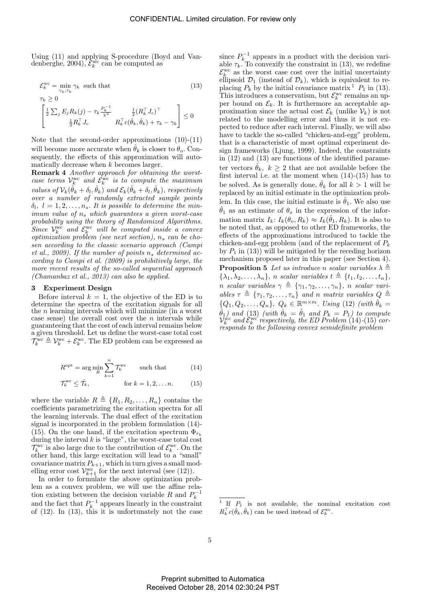Using (11) and applying S-procedure (Boyd and Vandenberghe, 2004),  $\tilde{\mathcal{E}}_k^{\text{wc}}$  can be computed as

$$
\mathcal{E}_k^{\text{wc}} = \min_{\gamma_k, \tau_k} \gamma_k \text{ such that}
$$
\n
$$
\tau_k \ge 0
$$
\n
$$
\left[\frac{1}{2} \sum_j E_j R_k(j) - \tau_k \frac{P_k^{-1}}{\chi^2} - \frac{1}{2} (R_k^\top J_c)^\top - \frac{1}{2} R_k^\top J_c \right] \le 0
$$
\n
$$
\frac{1}{2} R_k^\top J_c \qquad R_k^\top c(\hat{\theta}_k, \hat{\theta}_k) + \tau_k - \gamma_k \right] \le 0
$$
\n(13)

Note that the second-order approximations (10)-(11) will become more accurate when  $\hat{\theta}_k$  is closer to  $\theta_o$ . Consequently, the effects of this approximation will automatically decrease when  $k$  becomes larger.

Remark 4 Another approach for obtaining the worstcase terms  $V_k^{\text{wc}}$  and  $\mathcal{E}_k^{\text{wc}}$  is to compute the maximum values of  $\mathcal{V}_k(\hat{\theta}_k + \delta_l, \hat{\theta}_k)$  and  $\mathcal{E}_k(\hat{\theta}_k + \delta_l, \hat{\theta}_k)$ , respectively over a number of randomly extracted sample points  $\delta_l, l = 1, 2, \ldots, n_s$ . It is possible to determine the minimum value of  $n_s$  which guarantees a given worst-case probability using the theory of Randomized Algorithms. Since  $\mathcal{V}_k^{\text{wc}}$  and  $\mathcal{E}_k^{\text{wc}}$  will be computed inside a convex optimization problem (see next section),  $n_s$  can be chosen according to the classic scenario approach (Campi et al., 2009). If the number of points  $n_s$  determined according to Campi et al. (2009) is prohibitively large, the more recent results of the so-called sequential approach (Chamanbaz et al., 2013) can also be applied.

#### 3 Experiment Design

Before interval  $k = 1$ , the objective of the ED is to determine the spectra of the excitation signals for all the  $n$  learning intervals which will minimize (in a worst case sense) the overall cost over the  $n$  intervals while guaranteeing that the cost of each interval remains below a given threshold. Let us define the worst-case total cost  $\mathcal{T}^\text{wc}_k \triangleq \mathcal{V}^\text{wc}_k + \mathcal{E}^\text{wc}_k$  . The ED problem can be expressed as

$$
R^{\text{opt}} = \arg\min_{R} \sum_{k=1}^{n} \mathcal{T}_k^{\text{wc}} \qquad \text{such that} \tag{14}
$$

$$
\mathcal{T}_k^{\text{wc}} \leq \bar{\mathcal{T}}_k, \qquad \text{for } k = 1, 2, \dots n. \tag{15}
$$

where the variable  $R \triangleq \{R_1, R_2, \ldots, R_n\}$  contains the coefficients parametrizing the excitation spectra for all the learning intervals. The dual effect of the excitation signal is incorporated in the problem formulation (14)- (15). On the one hand, if the excitation spectrum  $\Phi_{r_k}$ during the interval  $k$  is "large", the worst-case total cost  $\mathcal{T}_k^{\text{wc}}$  is also large due to the contribution of  $\mathcal{E}_k^{\text{wc}}$ . On the other hand, this large excitation will lead to a "small" covariance matrix  $P_{k+1}$ , which in turn gives a small modelling error cost  $\mathcal{V}_{k+1}^{\text{wc}}$  for the next interval (see (12)).

In order to formulate the above optimization problem as a convex problem, we will use the affine relation existing between the decision variable R and  $P_k^{-1}$ <br>and the fact that  $P_k^{-1}$  appears linearly in the constraint of (12). In (13), this it is unfortunately not the case

since  $P_k^{-1}$  appears in a product with the decision variable  $\tau_k$ . To convexify the constraint in (13), we redefine  $\mathcal{E}_k^{\text{wc}}$  as the worst case cost over the initial uncertainty ellipsoid  $\mathcal{D}_1$  (instead of  $\mathcal{D}_k$ ), which is equivalent to replacing  $P_k$  by the initial covariance matrix  $P_1$  in (13). This introduces a conservatism, but  $\mathcal{E}_k^{\text{wc}}$  remains an upper bound on  $\mathcal{E}_k$ . It is furthermore an acceptable approximation since the actual cost  $\mathcal{E}_k$  (unlike  $\mathcal{V}_k$ ) is not related to the modelling error and thus it is not expected to reduce after each interval. Finally, we will also have to tackle the so-called "chicken-and-egg" problem, that is a characteristic of most optimal experiment design frameworks (Ljung, 1999). Indeed, the constraints in (12) and (13) are functions of the identified parameter vectors  $\hat{\theta}_k, k \geq 2$  that are not available before the first interval i.e. at the moment when  $(14)-(15)$  has to be solved. As is generally done,  $\hat{\theta}_k$  for all  $k > 1$  will be replaced by an initial estimate in the optimization problem. In this case, the initial estimate is  $\hat{\theta}_1$ . We also use  $\theta_1$  as an estimate of  $\theta_0$  in the expression of the information matrix  $I_k$ :  $I_k(\theta_o, R_k) \approx I_k(\hat{\theta}_1, R_k)$ . It is also to be noted that, as opposed to other ED frameworks, the effects of the approximations introduced to tackle the chicken-and-egg problem (and of the replacement of  $P_k$ ) by  $P_1$  in (13)) will be mitigated by the receding horizon mechanism proposed later in this paper (see Section 4). **Proposition 5** Let us introduce n scalar variables  $\lambda \triangleq$  $\{\lambda_1, \lambda_2, \ldots, \lambda_n\},\$ n scalar variables  $t \triangleq \{t_1, t_2, \ldots, t_n\},\$ n scalar variables  $\gamma \triangleq {\gamma_1, \gamma_2, \ldots, \gamma_n}$ , n scalar variables  $\tau \triangleq {\tau_1, \tau_2, \ldots, \tau_n}$  and n matrix variables  $Q \triangleq$  $\{Q_1, Q_2, \ldots, Q_n\},\ Q_k \in \mathbb{R}^{m \times m}$ . Using (12) (with  $\hat{\theta}_k =$  $\hat{\theta}_1$ ) and (13) (with  $\hat{\theta}_k = \hat{\theta}_1$  and  $P_k = P_1$ ) to compute  $\mathcal{V}_k^{\textit{wc}}$  and  $\mathcal{E}_k^{\textit{wc}}$  respectively, the ED Problem (14)-(15) cor $r_{\text{exponds}}^{\kappa}$  to the following convex semidefinite problem

<sup>&</sup>lt;sup>1</sup> If  $P_1$  is not available, the nominal excitation cost  $R_k^{\top} c(\hat{\theta}_k, \hat{\theta}_k)$  can be used instead of  $\mathcal{E}_k^{\text{wc}}$ .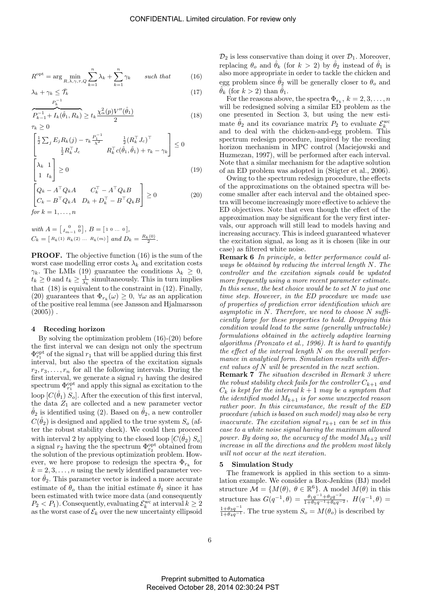$$
R^{\text{opt}} = \arg\min_{R,\lambda,\gamma,\tau,Q} \sum_{k=1}^{n} \lambda_k + \sum_{k=1}^{n} \gamma_k \qquad \text{such that} \tag{16}
$$

$$
\lambda_k + \gamma_k \leq \bar{\mathcal{T}}_k
$$
\n
$$
\overbrace{\mathcal{P}_k^{-1}}
$$
\n
$$
\overbrace{\mathcal{P}_k^{2}(n)V''(\hat{\theta})}
$$
\n
$$
(17)
$$

$$
\widetilde{P_{k-1}^{-1} + I_k(\hat{\theta}_1, R_k)} \ge t_k \frac{\chi_\alpha^2(p)V''(\hat{\theta}_1)}{2}
$$
\n
$$
\tau_k \ge 0
$$
\n(18)

$$
\begin{bmatrix}\n\frac{1}{2} \sum_{j} E_{j} R_{k}(j) - \tau_{k} \frac{P_{1}^{-1}}{\chi^{2}} & \frac{1}{2} (R_{k}^{\top} J_{c})^{\top} \\
\frac{1}{2} R_{k}^{\top} J_{c} & R_{k}^{\top} c(\hat{\theta}_{1}, \hat{\theta}_{1}) + \tau_{k} - \gamma_{k}\n\end{bmatrix} \leq 0
$$
\n
$$
\begin{bmatrix}\n\lambda_{k} & 1 \\
1 & t_{k} \\
1 & 0\n\end{bmatrix} \geq 0
$$
\n(19)

$$
\begin{bmatrix}\nQ_k - A^\top Q_k A & C_k^\top - A^\top Q_k B \\
C_k - B^\top Q_k A & D_k + D_k^\top - B^\top Q_k B\n\end{bmatrix} \ge 0
$$
\n
$$
\text{(20)}
$$
\n
$$
\text{for } k = 1, \dots, n
$$

with  $A = \begin{bmatrix} 0 & 0 \\ I_{m-1} & 0 \end{bmatrix}$ ,  $B = \begin{bmatrix} 1 & 0 & \dots & 0 \end{bmatrix}$ ,  $C_k = [R_k(1) R_k(2) ... R_k(m)]$  and  $D_k = \frac{R_k(0)}{2}$ .

PROOF. The objective function (16) is the sum of the worst case modelling error costs  $\lambda_k$  and excitation costs  $\gamma_k$ . The LMIs (19) guarantee the conditions  $\lambda_k \geq 0$ ,  $t_k \geq 0$  and  $t_k \geq \frac{1}{\lambda_k}$  simultaneously. This in turn implies that (18) is equivalent to the constraint in (12). Finally, (20) guarantees that  $\Phi_{r_k}(\omega) \geq 0$ ,  $\forall \omega$  as an application of the positive real lemma (see Jansson and Hjalmarsson  $(2005)$ .

#### 4 Receding horizon

By solving the optimization problem (16)-(20) before the first interval we can design not only the spectrum  $\Phi_{r_1}^{\text{opt}}$  of the signal  $r_1$  that will be applied during this first interval, but also the spectra of the excitation signals  $r_2, r_3, \ldots, r_n$  for all the following intervals. During the first interval, we generate a signal  $r_1$  having the desired spectrum  $\Phi_{r_1}^{\text{opt}}$  and apply this signal as excitation to the loop  $[C(\hat{\theta}_1) S_o]$ . After the execution of this first interval, the data  $Z_1$  are collected and a new parameter vector  $\hat{\theta}_2$  is identified using (2). Based on  $\hat{\theta}_2$ , a new controller  $C(\hat{\theta}_2)$  is designed and applied to the true system  $S_o$  (after the robust stability check). We could then proceed with interval 2 by applying to the closed loop  $[C(\hat{\theta}_2) S_o]$ a signal  $r_2$  having the the spectrum  $\Phi_{r_2}^{\text{opt}}$  obtained from the solution of the previous optimization problem. However, we here propose to redesign the spectra  $\Phi_{r_k}$  for  $k = 2, 3, \ldots, n$  using the newly identified parameter vector  $\theta_2$ . This parameter vector is indeed a more accurate estimate of  $\theta_o$  than the initial estimate  $\hat{\theta}_1$  since it has been estimated with twice more data (and consequently  $P_2 < P_1$ ). Consequently, evaluating  $\mathcal{E}_k^{\text{wc}}$  at interval  $k \geq 2$ as the worst case of  $\mathcal{E}_k$  over the new uncertainty ellipsoid  $\mathcal{D}_2$  is less conservative than doing it over  $\mathcal{D}_1$ . Moreover, replacing  $\theta_o$  and  $\hat{\theta}_k$  (for  $k > 2$ ) by  $\hat{\theta}_2$  instead of  $\hat{\theta}_1$  is also more appropriate in order to tackle the chicken and egg problem since  $\hat{\theta}_2$  will be generally closer to  $\theta_o$  and  $\hat{\theta}_k$  (for  $k > 2$ ) than  $\hat{\theta}_1$ .

For the reasons above, the spectra  $\Phi_{r_k}, k = 2, 3, ..., n$ will be redesigned solving a similar ED problem as the one presented in Section 3, but using the new estimate  $\hat{\theta}_2$  and its covariance matrix  $P_2$  to evaluate  $\mathcal{E}_k^{\text{wc}}$ and to deal with the chicken-and-egg problem. This spectrum redesign procedure, inspired by the receding horizon mechanism in MPC control (Maciejowski and Huzmezan, 1997), will be performed after each interval. Note that a similar mechanism for the adaptive solution of an ED problem was adopted in (Stigter et al., 2006).

Owing to the spectrum redesign procedure, the effects of the approximations on the obtained spectra will become smaller after each interval and the obtained spectra will become increasingly more effective to achieve the ED objectives. Note that even though the effect of the approximation may be significant for the very first intervals, our approach will still lead to models having and increasing accuracy. This is indeed guaranteed whatever the excitation signal, as long as it is chosen (like in our case) as filtered white noise.

Remark 6 In principle, a better performance could always be obtained by reducing the interval length N. The controller and the excitation signals could be updated more frequently using a more recent parameter estimate. In this sense, the best choice would be to set  $N$  to just one time step. However, in the ED procedure we made use of properties of prediction error identification which are asymptotic in  $N$ . Therefore, we need to choose  $N$  sufficiently large for these properties to hold. Dropping this condition would lead to the same (generally untractable) formulations obtained in the actively adaptive learning algorithms (Pronzato et al., 1996). It is hard to quantify the effect of the interval length  $N$  on the overall performance in analytical form. Simulation results with different values of N will be presented in the next section.

**Remark 7** The situation described in Remark 3 where the robust stability check fails for the controller  $C_{k+1}$  and  $C_k$  is kept for the interval  $k+1$  may be a symptom that the identified model  $M_{k+1}$  is for some unexpected reason rather poor. In this circumstance, the result of the ED procedure (which is based on such model) may also be very inaccurate. The excitation signal  $r_{k+1}$  can be set in this case to a white noise signal having the maximum allowed power. By doing so, the accuracy of the model  $M_{k+2}$  will increase in all the directions and the problem most likely will not occur at the next iteration.

# 5 Simulation Study

The framework is applied in this section to a simulation example. We consider a Box-Jenkins (BJ) model structure  $\mathcal{M} = \{ M(\theta), \ \theta \in \mathbb{R}^6 \}$ . A model  $\hat{M}(\theta)$  in this structure has  $G(q^{-1}, \theta) = \frac{\theta_1 q^{-1} + \theta_2 q^{-2}}{1 + \theta_5 q^{-1} + \theta_6 q^{-2}}, H(q^{-1}, \theta) =$  $\frac{1+\theta_3q^{-1}}{1+\theta_4q^{-1}}$ . The true system  $S_o = M(\theta_o)$  is described by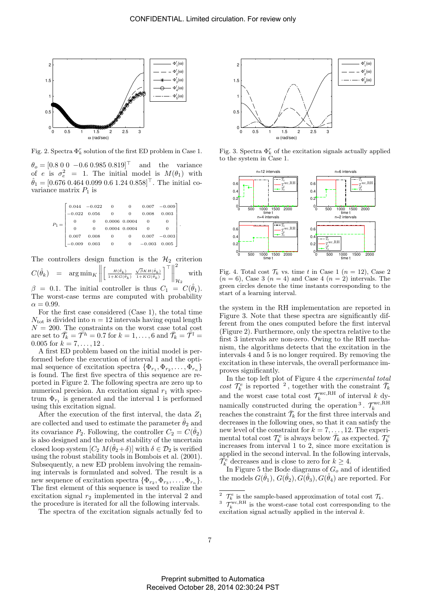

Fig. 2. Spectra  $\Phi_k^r$  solution of the first ED problem in Case 1.

 $\theta_o = [0.8 \ 0 \ 0 \ -0.6 \ 0.985 \ 0.819]^\top$  and the variance of e is  $\sigma_e^2 = 1$ . The initial model is  $M(\theta_1)$  with  $\theta_1 = [0.676\; 0.464\; 0.099\; 0.6\; 1.24\; 0.858]^\top.$  The initial covariance matrix  $P_1$  is



The controllers design function is the  $\mathcal{H}_2$  criterion  $C(\hat{\theta}_k) = \arg \min_K \Big\|$  $\left\lceil \ \frac{H(\hat{\theta}_k)}{1+KG(\hat{\theta}_k)} \right\rceil$  $\frac{\sqrt{\beta}KH(\hat{\theta}_k)}{1+KG(\hat{\theta}_k)}$   $\left|\right|$ 2  $\mathcal{H}_2$ with

 $\beta = 0.1$ . The initial controller is thus  $C_1 = C(\hat{\theta}_1)$ . The worst-case terms are computed with probability  $\alpha = 0.99$ .

For the first case considered (Case 1), the total time  $N_{\text{tot}}$  is divided into  $n = 12$  intervals having equal length  $N = 200$ . The constraints on the worst case total cost are set to  $\overline{T}_k = \overline{T}^h = 0.7$  for  $k = 1, ..., 6$  and  $\overline{T}_k = \overline{T}^l =$ 0.005 for  $k = 7, \ldots, 12$ .

A first ED problem based on the initial model is performed before the execution of interval 1 and the optimal sequence of excitation spectra  $\{\Phi_{r_1}, \Phi_{r_2}, \dots, \Phi_{r_n}\}\$ is found. The first five spectra of this sequence are reported in Figure 2. The following spectra are zero up to numerical precision. An excitation signal  $r_1$  with spectrum  $\Phi_{r_1}$  is generated and the interval 1 is performed using this excitation signal.

After the execution of the first interval, the data  $Z_1$ are collected and used to estimate the parameter  $\hat{\theta}_2$  and its covariance  $P_2$ . Following, the controller  $C_2 = C(\hat{\theta}_2)$ is also designed and the robust stability of the uncertain closed loop system  $[C_2 \; M(\hat{\theta}_2 + \delta)]$  with  $\delta \in \mathcal{D}_2$  is verified using the robust stability tools in Bombois et al. (2001). Subsequently, a new ED problem involving the remaining intervals is formulated and solved. The result is a new sequence of excitation spectra  $\{\Phi_{r_2}, \Phi_{r_3}, \ldots, \Phi_{r_n}\}.$ The first element of this sequence is used to realize the excitation signal  $r_2$  implemented in the interval 2 and the procedure is iterated for all the following intervals.

The spectra of the excitation signals actually fed to



Fig. 3. Spectra  $\Phi_k^r$  of the excitation signals actually applied to the system in Case 1.



Fig. 4. Total cost  $\mathcal{T}_k$  vs. time t in Case 1 ( $n = 12$ ), Case 2  $(n = 6)$ , Case 3  $(n = 4)$  and Case 4  $(n = 2)$  intervals. The green circles denote the time instants corresponding to the start of a learning interval.

the system in the RH implementation are reported in Figure 3. Note that these spectra are significantly different from the ones computed before the first interval (Figure 2). Furthermore, only the spectra relative to the first 3 intervals are non-zero. Owing to the RH mechanism, the algorithms detects that the excitation in the intervals 4 and 5 is no longer required. By removing the excitation in these intervals, the overall performance improves significantly.

In the top left plot of Figure 4 the experimental total cost  $\mathcal{T}_k^e$  is reported <sup>2</sup>, together with the constraint  $\bar{\mathcal{T}}_k$ and the worst case total cost  $\mathcal{T}_k^{\text{wc,RH}}$  of interval k dynamically constructed during the operation<sup>3</sup>.  $\mathcal{T}_k^{\text{wc,RH}}$ reaches the constraint  $\bar{\mathcal{T}}_k$  for the first three intervals and decreases in the following ones, so that it can satisfy the new level of the constraint for  $k = 7, \ldots, 12$ . The experimental total cost  $\mathcal{T}_k^e$  is always below  $\bar{\mathcal{T}}_k$  as expected.  $\mathcal{T}_k^e$ increases from interval 1 to 2, since more excitation is applied in the second interval. In the following intervals,  $\mathcal{T}_{k}^{e}$  decreases and is close to zero for  $k \geq 4$ .

In Figure 5 the Bode diagrams of  $G<sub>o</sub>$  and of identified the models  $G(\hat{\theta}_1), G(\hat{\theta}_2), G(\hat{\theta}_3), G(\hat{\theta}_4)$  are reported. For

<sup>&</sup>lt;sup>2</sup>  $\mathcal{T}_k^e$  is the sample-based approximation of total cost  $\mathcal{T}_k$ .<br><sup>3</sup>  $\mathcal{T}_k^{\text{wc,RH}}$  is the worst-case total cost corresponding to the excitation signal actually applied in the interval k.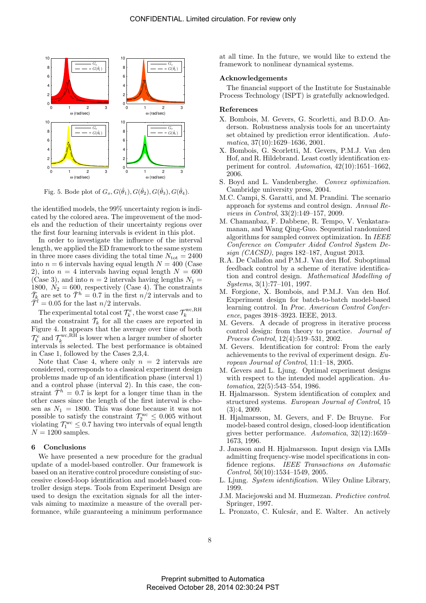

Fig. 5. Bode plot of  $G_o$ ,  $G(\hat{\theta}_1)$ ,  $G(\hat{\theta}_2)$ ,  $G(\hat{\theta}_3)$ ,  $G(\hat{\theta}_4)$ .

the identified models, the 99% uncertainty region is indicated by the colored area. The improvement of the models and the reduction of their uncertainty regions over the first four learning intervals is evident in this plot.

In order to investigate the influence of the interval length, we applied the ED framework to the same system in three more cases dividing the total time  $N_{\text{tot}} = 2400$ into  $n = 6$  intervals having equal length  $N = 400$  (Case 2), into  $n = 4$  intervals having equal length  $N = 600$ (Case 3), and into  $n = 2$  intervals having lengths  $N_1 =$ 1800,  $N_2 = 600$ , respectively (Case 4). The constraints  $\bar{\mathcal{T}}_k$  are set to  $\bar{\mathcal{T}}^h = 0.7$  in the first  $n/2$  intervals and to  $\tilde{\mathcal{T}}^l = 0.05$  for the last  $n/2$  intervals.

The experimental total cost  $\mathcal{T}_k^e$ , the worst case  $\mathcal{T}_k^{\text{wc,RH}}$ and the constraint  $\bar{\mathcal{T}}_k$  for all the cases are reported in Figure 4. It appears that the average over time of both  $\mathcal{T}_k^e$  and  $\mathcal{T}_k^{\text{wc,RH}}$  is lower when a larger number of shorter intervals is selected. The best performance is obtained in Case 1, followed by the Cases 2,3,4.

Note that Case 4, where only  $n = 2$  intervals are considered, corresponds to a classical experiment design problems made up of an identification phase (interval 1) and a control phase (interval 2). In this case, the constraint  $\bar{\mathcal{T}}^h = 0.7$  is kept for a longer time than in the other cases since the length of the first interval is chosen as  $N_1 = 1800$ . This was done because it was not possible to satisfy the constraint  $\mathcal{T}_2^{\text{wc}} \leq 0.005$  without violating  $\mathcal{T}^{\text{wc}}_1 \leq 0.7$  having two intervals of equal length  $N = 1200$  samples.

# 6 Conclusions

We have presented a new procedure for the gradual update of a model-based controller. Our framework is based on an iterative control procedure consisting of successive closed-loop identification and model-based controller design steps. Tools from Experiment Design are used to design the excitation signals for all the intervals aiming to maximize a measure of the overall performance, while guaranteeing a minimum performance at all time. In the future, we would like to extend the framework to nonlinear dynamical systems.

#### Acknowledgements

The financial support of the Institute for Sustainable Process Technology (ISPT) is gratefully acknowledged.

## References

- X. Bombois, M. Gevers, G. Scorletti, and B.D.O. Anderson. Robustness analysis tools for an uncertainty set obtained by prediction error identification. Automatica, 37(10):1629–1636, 2001.
- X. Bombois, G. Scorletti, M. Gevers, P.M.J. Van den Hof, and R. Hildebrand. Least costly identification experiment for control. Automatica, 42(10):1651–1662, 2006.
- S. Boyd and L. Vandenberghe. Convex optimization. Cambridge university press, 2004.
- M.C. Campi, S. Garatti, and M. Prandini. The scenario approach for systems and control design. Annual Reviews in Control, 33(2):149–157, 2009.
- M. Chamanbaz, F. Dabbene, R. Tempo, V. Venkataramanan, and Wang Qing-Guo. Sequential randomized algorithms for sampled convex optimization. In IEEE Conference on Computer Aided Control System Design (CACSD), pages 182–187, August 2013.
- R.A. De Callafon and P.M.J. Van den Hof. Suboptimal feedback control by a scheme of iterative identification and control design. Mathematical Modelling of Systems, 3(1):77–101, 1997.
- M. Forgione, X. Bombois, and P.M.J. Van den Hof. Experiment design for batch-to-batch model-based learning control. In Proc. American Control Conference, pages 3918–3923. IEEE, 2013.
- M. Gevers. A decade of progress in iterative process control design: from theory to practice. Journal of Process Control, 12(4):519–531, 2002.
- M. Gevers. Identification for control: From the early achievements to the revival of experiment design. European Journal of Control, 11:1–18, 2005.
- M. Gevers and L. Ljung. Optimal experiment designs with respect to the intended model application.  $Au$ tomatica, 22(5):543–554, 1986.
- H. Hjalmarsson. System identification of complex and structured systems. European Journal of Control, 15 (3):4, 2009.
- H. Hjalmarsson, M. Gevers, and F. De Bruyne. For model-based control design, closed-loop identification gives better performance. Automatica, 32(12):1659– 1673, 1996.
- J. Jansson and H. Hjalmarsson. Input design via LMIs admitting frequency-wise model specifications in confidence regions. IEEE Transactions on Automatic Control, 50(10):1534–1549, 2005.
- L. Ljung. System identification. Wiley Online Library, 1999.
- J.M. Maciejowski and M. Huzmezan. Predictive control. Springer, 1997.
- L. Pronzato, C. Kulcsár, and E. Walter. An actively